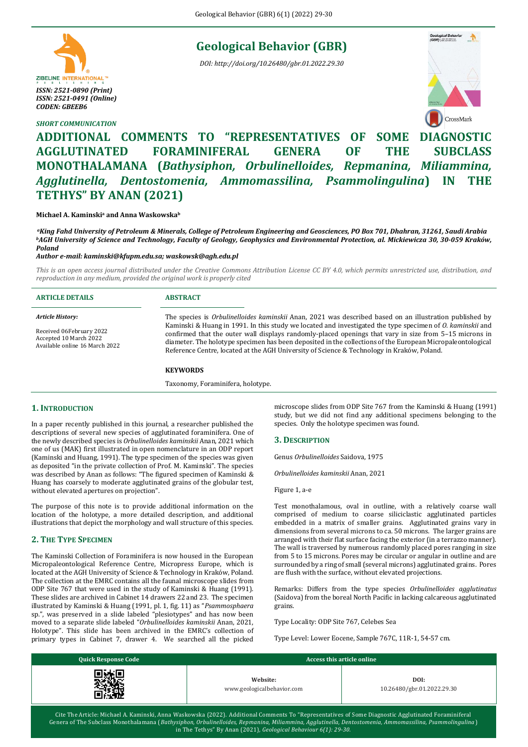## **Geological Behavior (GBR)**

*DOI: http://doi.org/10.26480/gbr.01.2022.29.30*



### *SHORT COMMUNICATION*



# **ADDITIONAL COMMENTS TO "REPRESENTATIVES OF SOME DIAGNOSTIC AGGLUTINATED FORAMINIFERAL GENERA OF THE SUBCLASS MONOTHALAMANA (***Bathysiphon, Orbulinelloides, Repmanina, Miliammina, Agglutinella, Dentostomenia, Ammomassilina, Psammolingulina***) IN THE TETHYS" BY ANAN (2021)**

#### **Michael A. Kaminski<sup>a</sup> and Anna Waskowska<sup>b</sup>**

*<sup>a</sup>King Fahd University of Petroleum & Minerals, College of Petroleum Engineering and Geosciences, PO Box 701, Dhahran, 31261, Saudi Arabia <sup>b</sup>AGH University of Science and Technology, Faculty of Geology, Geophysics and Environmental Protection, al. Mickiewicza 30, 30-059 Kraków, Poland*

#### *Author e-mail[: kaminski@kfupm.edu.sa;](mailto:kaminski@kfupm.edu.sa) [waskowsk@agh.edu.pl](mailto:waskowsk@agh.edu.pl)*

*This is an open access journal distributed under the Creative Commons Attribution License CC BY 4.0, which permits unrestricted use, distribution, and reproduction in any medium, provided the original work is properly cited*

| <b>ARTICLE DETAILS</b>                                                               | <b>ABSTRACT</b>                                                                                                                                                                                                                                                                                                                                                                                                                        |
|--------------------------------------------------------------------------------------|----------------------------------------------------------------------------------------------------------------------------------------------------------------------------------------------------------------------------------------------------------------------------------------------------------------------------------------------------------------------------------------------------------------------------------------|
| Article History:                                                                     | The species is <i>Orbulinelloides kaminskii</i> Anan, 2021 was described based on an illustration published by                                                                                                                                                                                                                                                                                                                         |
| Received 06February 2022<br>Accepted 10 March 2022<br>Available online 16 March 2022 | Kaminski & Huang in 1991. In this study we located and investigated the type specimen of <i>O. kaminskii</i> and<br>confirmed that the outer wall displays randomly-placed openings that vary in size from 5-15 microns in<br>diameter. The holotype specimen has been deposited in the collections of the European Micropaleontological<br>Reference Centre, located at the AGH University of Science & Technology in Kraków, Poland. |

#### **KEYWORDS**

Taxonomy, Foraminifera, holotype.

#### **1. INTRODUCTION**

In a paper recently published in this journal, a researcher published the descriptions of several new species of agglutinated foraminifera. One of the newly described species is *Orbulinelloides kaminskii* Anan, 2021 which one of us (MAK) first illustrated in open nomenclature in an ODP report (Kaminski and Huang, 1991). The type specimen of the species was given as deposited "in the private collection of Prof. M. Kaminski". The species was described by Anan as follows: "The figured specimen of Kaminski & Huang has coarsely to moderate agglutinated grains of the globular test, without elevated apertures on projection".

The purpose of this note is to provide additional information on the location of the holotype, a more detailed description, and additional illustrations that depict the morphology and wall structure of this species.

#### **2. THE TYPE SPECIMEN**

The Kaminski Collection of Foraminifera is now housed in the European Micropaleontological Reference Centre, Micropress Europe, which is located at the AGH University of Science & Technology in Kraków, Poland. The collection at the EMRC contains all the faunal microscope slides from ODP Site 767 that were used in the study of Kaminski & Huang (1991). These slides are archived in Cabinet 14 drawers 22 and 23. The specimen illustrated by Kaminski & Huang (1991, pl. 1, fig. 11) as "*Psammosphaera* sp.", was preserved in a slide labeled "plesiotypes" and has now been moved to a separate slide labeled "*Orbulinelloides kaminskii* Anan, 2021, Holotype". This slide has been archived in the EMRC's collection of primary types in Cabinet 7, drawer 4. We searched all the picked microscope slides from ODP Site 767 from the Kaminski & Huang (1991) study, but we did not find any additional specimens belonging to the species. Only the holotype specimen was found.

#### **3. DESCRIPTION**

Genus *Orbulinelloides* Saidova, 1975

*Orbulinelloides kaminskii* Anan, 2021

Figure 1, a-e

Test monothalamous, oval in outline, with a relatively coarse wall comprised of medium to coarse siliciclastic agglutinated particles embedded in a matrix of smaller grains. Agglutinated grains vary in dimensions from several microns to ca. 50 microns. The larger grains are arranged with their flat surface facing the exterior (in a terrazzo manner). The wall is traversed by numerous randomly placed pores ranging in size from 5 to 15 microns. Pores may be circular or angular in outline and are surrounded by a ring of small (several microns) agglutinated grains. Pores are flush with the surface, without elevated projections.

Remarks: Differs from the type species *Orbulinelloides agglutinatus* (Saidova) from the boreal North Pacific in lacking calcareous agglutinated grains.

Type Locality: ODP Site 767, Celebes Sea

Type Level: Lower Eocene, Sample 767C, 11R-1, 54-57 cm.

| <b>Quick Response Code</b> | Access this article online             |                                    |  |
|----------------------------|----------------------------------------|------------------------------------|--|
|                            | Website:<br>www.geologicalbehavior.com | DOI:<br>10.26480/gbr.01.2022.29.30 |  |

Cite The Article: Michael A. Kaminski, Anna Waskowska (2022). Additional Comments To "Representatives of Some Diagnostic Agglutinated Foraminiferal Genera of The Subclass Monothalamana (*Bathysiphon, Orbulinelloides, Repmanina, Miliammina, Agglutinella, Dentostomenia, Ammomassilina, Psammolingulina* ) in The Tethys" By Anan (2021)*, Geological Behaviour 6(1): 29-30.*